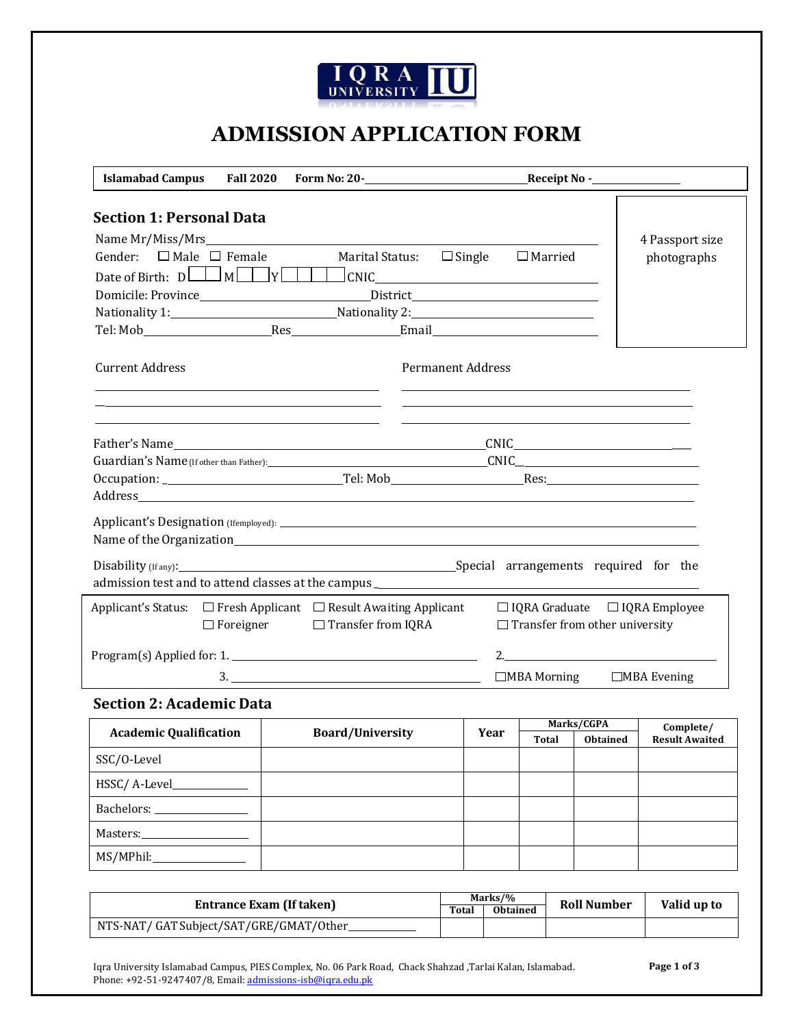

# **ADMISSION APPLICATION FORM**

| <b>Islamabad Campus</b>                                                                              | <b>Fall 2020</b>                                 |                                      |                                                                                                                                                                                                                               |                                       |                                           |
|------------------------------------------------------------------------------------------------------|--------------------------------------------------|--------------------------------------|-------------------------------------------------------------------------------------------------------------------------------------------------------------------------------------------------------------------------------|---------------------------------------|-------------------------------------------|
| <b>Section 1: Personal Data</b>                                                                      |                                                  |                                      |                                                                                                                                                                                                                               |                                       |                                           |
|                                                                                                      |                                                  |                                      |                                                                                                                                                                                                                               |                                       | 4 Passport size                           |
| Gender: $\Box$ Male $\Box$ Female                                                                    |                                                  | <b>Marital Status:</b>               | $\Box$ Single                                                                                                                                                                                                                 | $\Box$ Married                        | photographs                               |
|                                                                                                      |                                                  |                                      | JCNIC                                                                                                                                                                                                                         |                                       |                                           |
|                                                                                                      |                                                  | Domicile: Province District District |                                                                                                                                                                                                                               |                                       |                                           |
|                                                                                                      |                                                  |                                      |                                                                                                                                                                                                                               |                                       |                                           |
| Tel: Mob Res                                                                                         |                                                  |                                      | Email and the contract of the contract of the contract of the contract of the contract of the contract of the contract of the contract of the contract of the contract of the contract of the contract of the contract of the |                                       |                                           |
| <b>Current Address</b>                                                                               |                                                  |                                      | <b>Permanent Address</b>                                                                                                                                                                                                      |                                       |                                           |
|                                                                                                      |                                                  |                                      |                                                                                                                                                                                                                               |                                       |                                           |
|                                                                                                      |                                                  |                                      |                                                                                                                                                                                                                               |                                       |                                           |
|                                                                                                      |                                                  |                                      |                                                                                                                                                                                                                               |                                       |                                           |
|                                                                                                      |                                                  |                                      |                                                                                                                                                                                                                               |                                       |                                           |
|                                                                                                      |                                                  |                                      |                                                                                                                                                                                                                               |                                       |                                           |
|                                                                                                      |                                                  |                                      |                                                                                                                                                                                                                               |                                       |                                           |
| Name of the Organization expansion of the Contract of the Organization expansion of the Organization |                                                  |                                      |                                                                                                                                                                                                                               |                                       |                                           |
|                                                                                                      |                                                  |                                      |                                                                                                                                                                                                                               |                                       |                                           |
| admission test and to attend classes at the campus _____________________________                     |                                                  |                                      |                                                                                                                                                                                                                               |                                       |                                           |
| Applicant's Status: □ Fresh Applicant □ Result Awaiting Applicant                                    |                                                  |                                      |                                                                                                                                                                                                                               |                                       | $\Box$ IQRA Graduate $\Box$ IQRA Employee |
|                                                                                                      | $\Box$ Foreigner                                 | $\Box$ Transfer from IQRA            |                                                                                                                                                                                                                               | $\Box$ Transfer from other university |                                           |
|                                                                                                      | Program(s) Applied for: 1.<br>2. $\qquad \qquad$ |                                      |                                                                                                                                                                                                                               |                                       |                                           |
|                                                                                                      |                                                  | 3.                                   |                                                                                                                                                                                                                               | $\Box$ MBA Morning                    | $\Box$ MBA Evening                        |
|                                                                                                      |                                                  |                                      |                                                                                                                                                                                                                               |                                       |                                           |

#### **Section 2: Academic Data**

|                                |                                 |  | Marks/CGPA   |                                          | Complete/ |
|--------------------------------|---------------------------------|--|--------------|------------------------------------------|-----------|
| <b>Academic Qualification</b>  | <b>Board/University</b><br>Year |  | <b>Total</b> | <b>Result Awaited</b><br><b>Obtained</b> |           |
| SSC/O-Level                    |                                 |  |              |                                          |           |
|                                |                                 |  |              |                                          |           |
| Bachelors: 2008                |                                 |  |              |                                          |           |
| Masters:______________________ |                                 |  |              |                                          |           |
|                                |                                 |  |              |                                          |           |

| Entrance Exam (If taken)                |  | Marks/%         | <b>Roll Number</b> | Valid up to |
|-----------------------------------------|--|-----------------|--------------------|-------------|
|                                         |  | <b>Obtained</b> |                    |             |
| NTS-NAT/ GAT Subject/SAT/GRE/GMAT/Other |  |                 |                    |             |

Iqra University Islamabad Campus, PIES Complex, No. 06 Park Road, Chack Shahzad ,Tarlai Kalan, Islamabad. Phone: +92-51-9247407/8, Email[: admissions-isb@iqra.edu.pk](mailto:admissions-isb@iqra.edu.pk)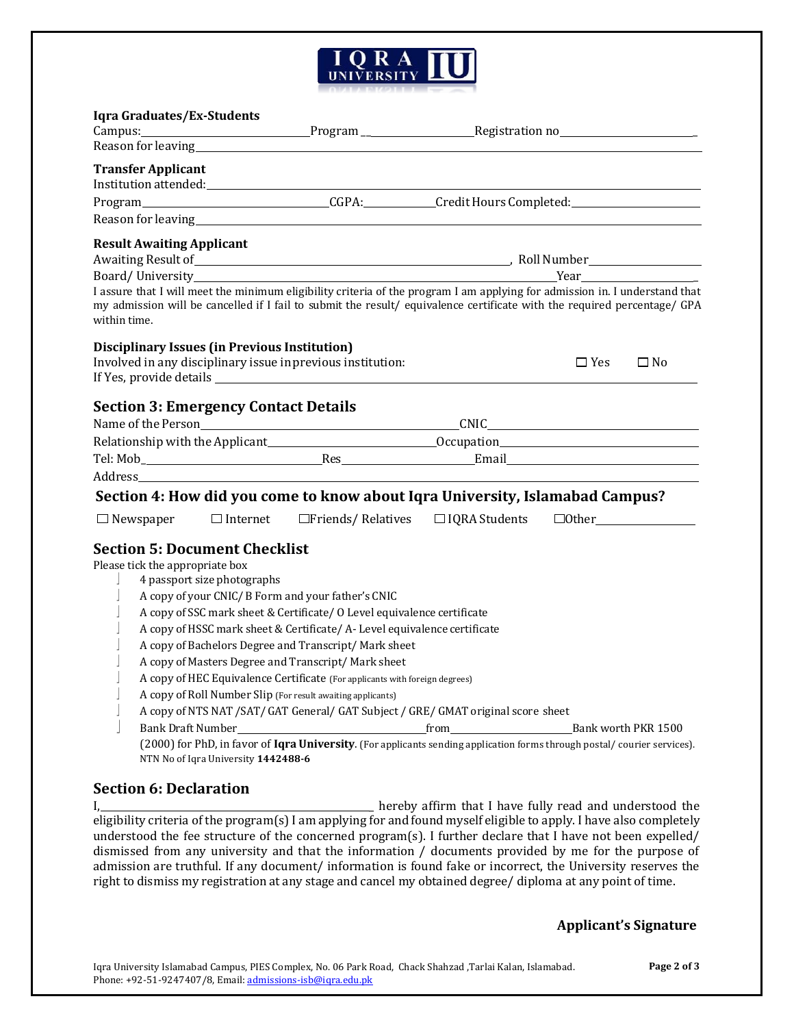

## **Iqra Graduates/Ex-Students**

| Reason for leaving <b>Example 2018</b> Reason for leaving<br><b>Transfer Applicant</b><br>Reason for leaving the contract of the contract of the contract of the contract of the contract of the contract of the contract of the contract of the contract of the contract of the contract of the contract of the contrac<br><b>Result Awaiting Applicant</b><br>I assure that I will meet the minimum eligibility criteria of the program I am applying for admission in. I understand that<br>my admission will be cancelled if I fail to submit the result/ equivalence certificate with the required percentage/ GPA<br>within time.<br><b>Disciplinary Issues (in Previous Institution)</b><br>Involved in any disciplinary issue in previous institution:<br>$\Box$ Yes<br>$\square$ No<br><b>Section 3: Emergency Contact Details</b><br>Name of the Person CNIC CONCERT CONTENTS OF THE CONTENT OF THE CONTENT OF THE CONTENT OF THE CONTENT OF THE CONTENT OF THE CONTENT OF THE CONTENT OF THE CONTENT OF THE CONTENT OF THE CONTENT OF THE CONTENT OF THE CONTENT O<br>Section 4: How did you come to know about Iqra University, Islamabad Campus?<br>$\Box$ Newspaper $\Box$ Internet $\Box$ Friends / Relatives $\Box$ IQRA Students<br>$\Box$ Other<br><b>Section 5: Document Checklist</b><br>Please tick the appropriate box<br>4 passport size photographs<br>A copy of your CNIC/ B Form and your father's CNIC<br>A copy of SSC mark sheet & Certificate/ O Level equivalence certificate<br>A copy of HSSC mark sheet & Certificate/ A- Level equivalence certificate<br>A copy of Bachelors Degree and Transcript/ Mark sheet<br>A copy of Masters Degree and Transcript/ Mark sheet<br>A copy of HEC Equivalence Certificate (For applicants with foreign degrees)<br>A copy of Roll Number Slip (For result awaiting applicants)<br>A copy of NTS NAT /SAT/ GAT General/ GAT Subject / GRE/ GMAT original score sheet<br>(2000) for PhD, in favor of Iqra University. (For applicants sending application forms through postal/ courier services). | 141 a ul auualts/La-Stuutills | Campus: Campus: Campus: Campus: Campus: Campus: Campus: Campus: Campus: Campus: Campus: Campus: Campus: Campus |  |  |
|---------------------------------------------------------------------------------------------------------------------------------------------------------------------------------------------------------------------------------------------------------------------------------------------------------------------------------------------------------------------------------------------------------------------------------------------------------------------------------------------------------------------------------------------------------------------------------------------------------------------------------------------------------------------------------------------------------------------------------------------------------------------------------------------------------------------------------------------------------------------------------------------------------------------------------------------------------------------------------------------------------------------------------------------------------------------------------------------------------------------------------------------------------------------------------------------------------------------------------------------------------------------------------------------------------------------------------------------------------------------------------------------------------------------------------------------------------------------------------------------------------------------------------------------------------------------------------------------------------------------------------------------------------------------------------------------------------------------------------------------------------------------------------------------------------------------------------------------------------------------------------------------------------------------------------------------------------------------------------------------------------------------------------------------------------------------------|-------------------------------|----------------------------------------------------------------------------------------------------------------|--|--|
|                                                                                                                                                                                                                                                                                                                                                                                                                                                                                                                                                                                                                                                                                                                                                                                                                                                                                                                                                                                                                                                                                                                                                                                                                                                                                                                                                                                                                                                                                                                                                                                                                                                                                                                                                                                                                                                                                                                                                                                                                                                                           |                               |                                                                                                                |  |  |
|                                                                                                                                                                                                                                                                                                                                                                                                                                                                                                                                                                                                                                                                                                                                                                                                                                                                                                                                                                                                                                                                                                                                                                                                                                                                                                                                                                                                                                                                                                                                                                                                                                                                                                                                                                                                                                                                                                                                                                                                                                                                           |                               |                                                                                                                |  |  |
|                                                                                                                                                                                                                                                                                                                                                                                                                                                                                                                                                                                                                                                                                                                                                                                                                                                                                                                                                                                                                                                                                                                                                                                                                                                                                                                                                                                                                                                                                                                                                                                                                                                                                                                                                                                                                                                                                                                                                                                                                                                                           |                               |                                                                                                                |  |  |
|                                                                                                                                                                                                                                                                                                                                                                                                                                                                                                                                                                                                                                                                                                                                                                                                                                                                                                                                                                                                                                                                                                                                                                                                                                                                                                                                                                                                                                                                                                                                                                                                                                                                                                                                                                                                                                                                                                                                                                                                                                                                           |                               |                                                                                                                |  |  |
|                                                                                                                                                                                                                                                                                                                                                                                                                                                                                                                                                                                                                                                                                                                                                                                                                                                                                                                                                                                                                                                                                                                                                                                                                                                                                                                                                                                                                                                                                                                                                                                                                                                                                                                                                                                                                                                                                                                                                                                                                                                                           |                               |                                                                                                                |  |  |
|                                                                                                                                                                                                                                                                                                                                                                                                                                                                                                                                                                                                                                                                                                                                                                                                                                                                                                                                                                                                                                                                                                                                                                                                                                                                                                                                                                                                                                                                                                                                                                                                                                                                                                                                                                                                                                                                                                                                                                                                                                                                           |                               |                                                                                                                |  |  |
|                                                                                                                                                                                                                                                                                                                                                                                                                                                                                                                                                                                                                                                                                                                                                                                                                                                                                                                                                                                                                                                                                                                                                                                                                                                                                                                                                                                                                                                                                                                                                                                                                                                                                                                                                                                                                                                                                                                                                                                                                                                                           |                               |                                                                                                                |  |  |
|                                                                                                                                                                                                                                                                                                                                                                                                                                                                                                                                                                                                                                                                                                                                                                                                                                                                                                                                                                                                                                                                                                                                                                                                                                                                                                                                                                                                                                                                                                                                                                                                                                                                                                                                                                                                                                                                                                                                                                                                                                                                           |                               |                                                                                                                |  |  |
|                                                                                                                                                                                                                                                                                                                                                                                                                                                                                                                                                                                                                                                                                                                                                                                                                                                                                                                                                                                                                                                                                                                                                                                                                                                                                                                                                                                                                                                                                                                                                                                                                                                                                                                                                                                                                                                                                                                                                                                                                                                                           |                               |                                                                                                                |  |  |
|                                                                                                                                                                                                                                                                                                                                                                                                                                                                                                                                                                                                                                                                                                                                                                                                                                                                                                                                                                                                                                                                                                                                                                                                                                                                                                                                                                                                                                                                                                                                                                                                                                                                                                                                                                                                                                                                                                                                                                                                                                                                           |                               |                                                                                                                |  |  |
|                                                                                                                                                                                                                                                                                                                                                                                                                                                                                                                                                                                                                                                                                                                                                                                                                                                                                                                                                                                                                                                                                                                                                                                                                                                                                                                                                                                                                                                                                                                                                                                                                                                                                                                                                                                                                                                                                                                                                                                                                                                                           |                               |                                                                                                                |  |  |
|                                                                                                                                                                                                                                                                                                                                                                                                                                                                                                                                                                                                                                                                                                                                                                                                                                                                                                                                                                                                                                                                                                                                                                                                                                                                                                                                                                                                                                                                                                                                                                                                                                                                                                                                                                                                                                                                                                                                                                                                                                                                           |                               |                                                                                                                |  |  |
|                                                                                                                                                                                                                                                                                                                                                                                                                                                                                                                                                                                                                                                                                                                                                                                                                                                                                                                                                                                                                                                                                                                                                                                                                                                                                                                                                                                                                                                                                                                                                                                                                                                                                                                                                                                                                                                                                                                                                                                                                                                                           |                               |                                                                                                                |  |  |
|                                                                                                                                                                                                                                                                                                                                                                                                                                                                                                                                                                                                                                                                                                                                                                                                                                                                                                                                                                                                                                                                                                                                                                                                                                                                                                                                                                                                                                                                                                                                                                                                                                                                                                                                                                                                                                                                                                                                                                                                                                                                           |                               |                                                                                                                |  |  |
|                                                                                                                                                                                                                                                                                                                                                                                                                                                                                                                                                                                                                                                                                                                                                                                                                                                                                                                                                                                                                                                                                                                                                                                                                                                                                                                                                                                                                                                                                                                                                                                                                                                                                                                                                                                                                                                                                                                                                                                                                                                                           |                               |                                                                                                                |  |  |
|                                                                                                                                                                                                                                                                                                                                                                                                                                                                                                                                                                                                                                                                                                                                                                                                                                                                                                                                                                                                                                                                                                                                                                                                                                                                                                                                                                                                                                                                                                                                                                                                                                                                                                                                                                                                                                                                                                                                                                                                                                                                           |                               |                                                                                                                |  |  |
|                                                                                                                                                                                                                                                                                                                                                                                                                                                                                                                                                                                                                                                                                                                                                                                                                                                                                                                                                                                                                                                                                                                                                                                                                                                                                                                                                                                                                                                                                                                                                                                                                                                                                                                                                                                                                                                                                                                                                                                                                                                                           |                               |                                                                                                                |  |  |
|                                                                                                                                                                                                                                                                                                                                                                                                                                                                                                                                                                                                                                                                                                                                                                                                                                                                                                                                                                                                                                                                                                                                                                                                                                                                                                                                                                                                                                                                                                                                                                                                                                                                                                                                                                                                                                                                                                                                                                                                                                                                           |                               |                                                                                                                |  |  |

## **Section 6: Declaration**

NTN No of Iqra University **1442488-6**

I, 1. 1. **I** hereby affirm that I have fully read and understood the eligibility criteria of the program(s) I am applying for and found myself eligible to apply. I have also completely understood the fee structure of the concerned program(s). I further declare that I have not been expelled/ dismissed from any university and that the information / documents provided by me for the purpose of admission are truthful. If any document/ information is found fake or incorrect, the University reserves the right to dismiss my registration at any stage and cancel my obtained degree/ diploma at any point of time.

#### **Applicant's Signature**